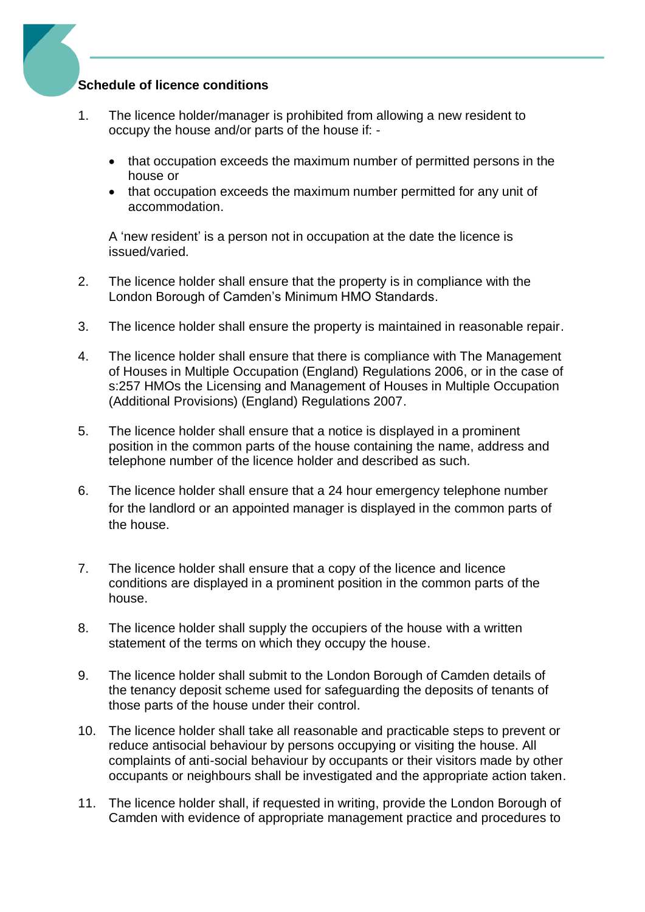## **Schedule of licence conditions**

- 1. The licence holder/manager is prohibited from allowing a new resident to occupy the house and/or parts of the house if: -
	- that occupation exceeds the maximum number of permitted persons in the house or
	- that occupation exceeds the maximum number permitted for any unit of accommodation.

A 'new resident' is a person not in occupation at the date the licence is issued/varied.

- 2. The licence holder shall ensure that the property is in compliance with the London Borough of Camden's Minimum HMO Standards.
- 3. The licence holder shall ensure the property is maintained in reasonable repair.
- 4. The licence holder shall ensure that there is compliance with The Management of Houses in Multiple Occupation (England) Regulations 2006, or in the case of s:257 HMOs the Licensing and Management of Houses in Multiple Occupation (Additional Provisions) (England) Regulations 2007.
- 5. The licence holder shall ensure that a notice is displayed in a prominent position in the common parts of the house containing the name, address and telephone number of the licence holder and described as such.
- 6. The licence holder shall ensure that a 24 hour emergency telephone number for the landlord or an appointed manager is displayed in the common parts of the house.
- 7. The licence holder shall ensure that a copy of the licence and licence conditions are displayed in a prominent position in the common parts of the house.
- 8. The licence holder shall supply the occupiers of the house with a written statement of the terms on which they occupy the house.
- 9. The licence holder shall submit to the London Borough of Camden details of the tenancy deposit scheme used for safeguarding the deposits of tenants of those parts of the house under their control.
- 10. The licence holder shall take all reasonable and practicable steps to prevent or reduce antisocial behaviour by persons occupying or visiting the house. All complaints of anti-social behaviour by occupants or their visitors made by other occupants or neighbours shall be investigated and the appropriate action taken.
- 11. The licence holder shall, if requested in writing, provide the London Borough of Camden with evidence of appropriate management practice and procedures to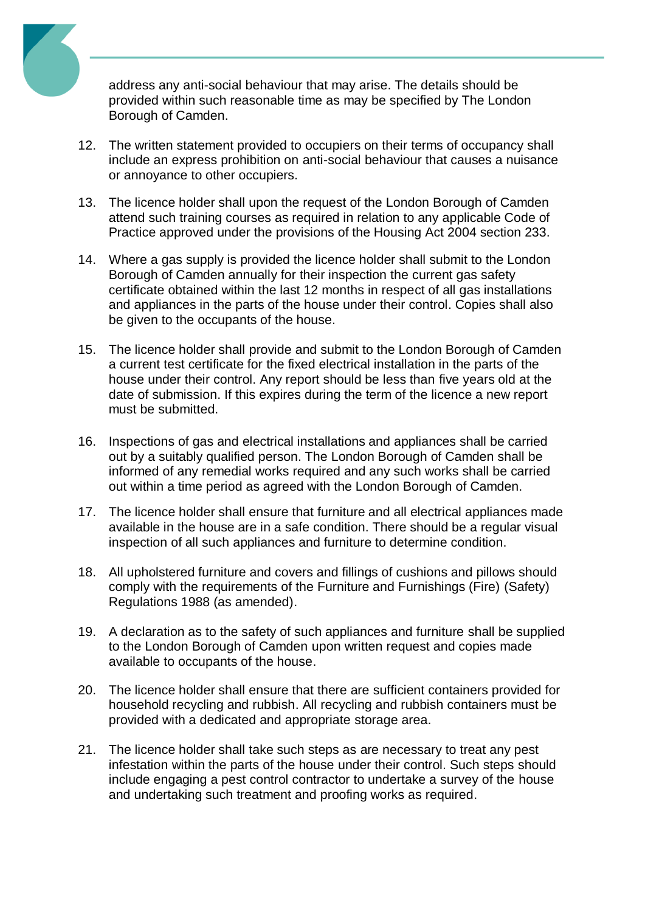

address any anti-social behaviour that may arise. The details should be provided within such reasonable time as may be specified by The London Borough of Camden.

- 12. The written statement provided to occupiers on their terms of occupancy shall include an express prohibition on anti-social behaviour that causes a nuisance or annoyance to other occupiers.
- 13. The licence holder shall upon the request of the London Borough of Camden attend such training courses as required in relation to any applicable Code of Practice approved under the provisions of the Housing Act 2004 section 233.
- 14. Where a gas supply is provided the licence holder shall submit to the London Borough of Camden annually for their inspection the current gas safety certificate obtained within the last 12 months in respect of all gas installations and appliances in the parts of the house under their control. Copies shall also be given to the occupants of the house.
- 15. The licence holder shall provide and submit to the London Borough of Camden a current test certificate for the fixed electrical installation in the parts of the house under their control. Any report should be less than five years old at the date of submission. If this expires during the term of the licence a new report must be submitted.
- 16. Inspections of gas and electrical installations and appliances shall be carried out by a suitably qualified person. The London Borough of Camden shall be informed of any remedial works required and any such works shall be carried out within a time period as agreed with the London Borough of Camden.
- 17. The licence holder shall ensure that furniture and all electrical appliances made available in the house are in a safe condition. There should be a regular visual inspection of all such appliances and furniture to determine condition.
- 18. All upholstered furniture and covers and fillings of cushions and pillows should comply with the requirements of the Furniture and Furnishings (Fire) (Safety) Regulations 1988 (as amended).
- 19. A declaration as to the safety of such appliances and furniture shall be supplied to the London Borough of Camden upon written request and copies made available to occupants of the house.
- 20. The licence holder shall ensure that there are sufficient containers provided for household recycling and rubbish. All recycling and rubbish containers must be provided with a dedicated and appropriate storage area.
- 21. The licence holder shall take such steps as are necessary to treat any pest infestation within the parts of the house under their control. Such steps should include engaging a pest control contractor to undertake a survey of the house and undertaking such treatment and proofing works as required.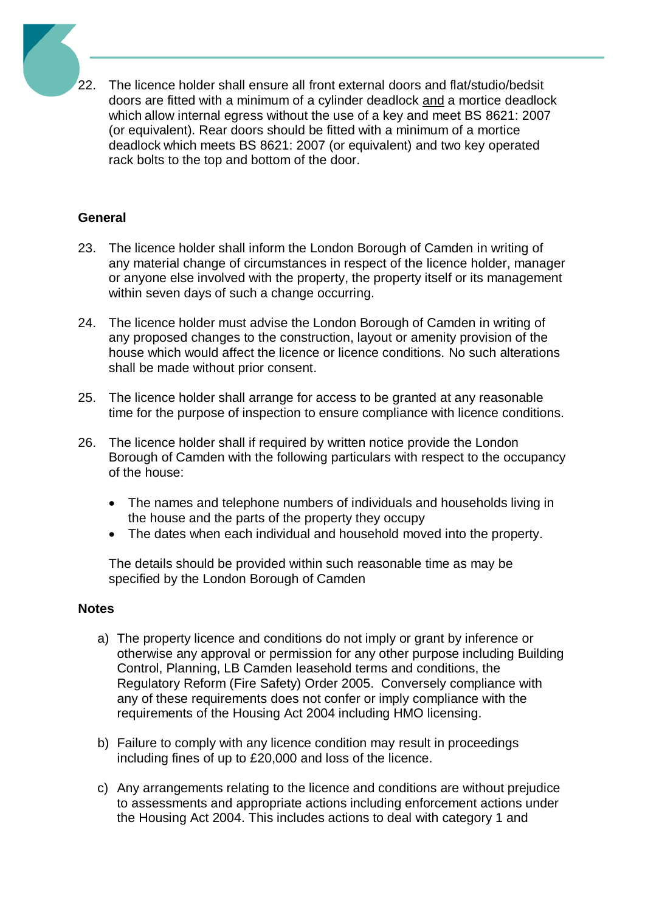22. The licence holder shall ensure all front external doors and flat/studio/bedsit doors are fitted with a minimum of a cylinder deadlock and a mortice deadlock which allow internal egress without the use of a key and meet BS 8621: 2007 (or equivalent). Rear doors should be fitted with a minimum of a mortice deadlock which meets BS 8621: 2007 (or equivalent) and two key operated rack bolts to the top and bottom of the door.

## **General**

- 23. The licence holder shall inform the London Borough of Camden in writing of any material change of circumstances in respect of the licence holder, manager or anyone else involved with the property, the property itself or its management within seven days of such a change occurring.
- 24. The licence holder must advise the London Borough of Camden in writing of any proposed changes to the construction, layout or amenity provision of the house which would affect the licence or licence conditions. No such alterations shall be made without prior consent.
- 25. The licence holder shall arrange for access to be granted at any reasonable time for the purpose of inspection to ensure compliance with licence conditions.
- 26. The licence holder shall if required by written notice provide the London Borough of Camden with the following particulars with respect to the occupancy of the house:
	- The names and telephone numbers of individuals and households living in the house and the parts of the property they occupy
	- The dates when each individual and household moved into the property.

The details should be provided within such reasonable time as may be specified by the London Borough of Camden

## **Notes**

- a) The property licence and conditions do not imply or grant by inference or otherwise any approval or permission for any other purpose including Building Control, Planning, LB Camden leasehold terms and conditions, the Regulatory Reform (Fire Safety) Order 2005. Conversely compliance with any of these requirements does not confer or imply compliance with the requirements of the Housing Act 2004 including HMO licensing.
- b) Failure to comply with any licence condition may result in proceedings including fines of up to £20,000 and loss of the licence.
- c) Any arrangements relating to the licence and conditions are without prejudice to assessments and appropriate actions including enforcement actions under the Housing Act 2004. This includes actions to deal with category 1 and